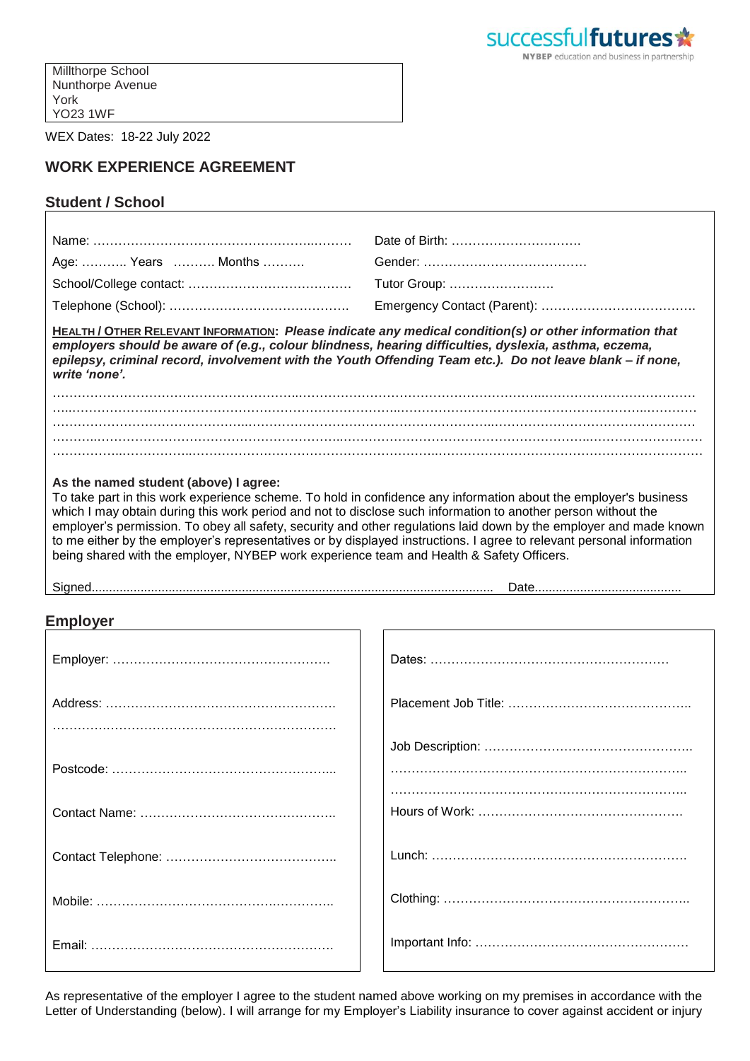Millthorpe School Nunthorpe Avenue York YO23 1WF

WEX Dates: 18-22 July 2022

## **WORK EXPERIENCE AGREEMENT**

## **Student / School**

|                                                                                                                                                                                                                                                                                                                                                                        | Date of Birth:                                                                                                                                                                                                                              |  |
|------------------------------------------------------------------------------------------------------------------------------------------------------------------------------------------------------------------------------------------------------------------------------------------------------------------------------------------------------------------------|---------------------------------------------------------------------------------------------------------------------------------------------------------------------------------------------------------------------------------------------|--|
| Age:  Years  Months                                                                                                                                                                                                                                                                                                                                                    |                                                                                                                                                                                                                                             |  |
| Tutor Group:                                                                                                                                                                                                                                                                                                                                                           |                                                                                                                                                                                                                                             |  |
|                                                                                                                                                                                                                                                                                                                                                                        |                                                                                                                                                                                                                                             |  |
| HEALTH / OTHER RELEVANT INFORMATION: Please indicate any medical condition(s) or other information that<br>employers should be aware of (e.g., colour blindness, hearing difficulties, dyslexia, asthma, eczema,<br>epilepsy, criminal record, involvement with the Youth Offending Team etc.). Do not leave blank - if none,<br>write 'none'.                         |                                                                                                                                                                                                                                             |  |
|                                                                                                                                                                                                                                                                                                                                                                        |                                                                                                                                                                                                                                             |  |
|                                                                                                                                                                                                                                                                                                                                                                        |                                                                                                                                                                                                                                             |  |
|                                                                                                                                                                                                                                                                                                                                                                        |                                                                                                                                                                                                                                             |  |
| As the named student (above) I agree:<br>To take part in this work experience scheme. To hold in confidence any information about the employer's business<br>which I may obtain during this work period and not to disclose such information to another person without the<br>being shared with the employer, NYBEP work experience team and Health & Safety Officers. | employer's permission. To obey all safety, security and other regulations laid down by the employer and made known<br>to me either by the employer's representatives or by displayed instructions. I agree to relevant personal information |  |
|                                                                                                                                                                                                                                                                                                                                                                        |                                                                                                                                                                                                                                             |  |
|                                                                                                                                                                                                                                                                                                                                                                        |                                                                                                                                                                                                                                             |  |
| <b>Employer</b>                                                                                                                                                                                                                                                                                                                                                        |                                                                                                                                                                                                                                             |  |
|                                                                                                                                                                                                                                                                                                                                                                        |                                                                                                                                                                                                                                             |  |
|                                                                                                                                                                                                                                                                                                                                                                        |                                                                                                                                                                                                                                             |  |
|                                                                                                                                                                                                                                                                                                                                                                        |                                                                                                                                                                                                                                             |  |
|                                                                                                                                                                                                                                                                                                                                                                        |                                                                                                                                                                                                                                             |  |
|                                                                                                                                                                                                                                                                                                                                                                        |                                                                                                                                                                                                                                             |  |
|                                                                                                                                                                                                                                                                                                                                                                        |                                                                                                                                                                                                                                             |  |
|                                                                                                                                                                                                                                                                                                                                                                        |                                                                                                                                                                                                                                             |  |
|                                                                                                                                                                                                                                                                                                                                                                        |                                                                                                                                                                                                                                             |  |
|                                                                                                                                                                                                                                                                                                                                                                        |                                                                                                                                                                                                                                             |  |

As representative of the employer I agree to the student named above working on my premises in accordance with the Letter of Understanding (below). I will arrange for my Employer's Liability insurance to cover against accident or injury